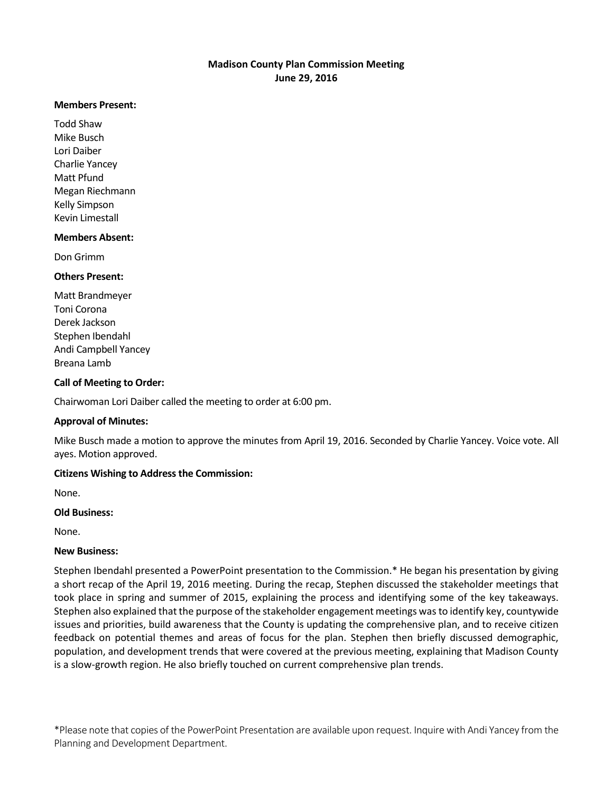### **Madison County Plan Commission Meeting June 29, 2016**

#### **Members Present:**

Todd Shaw Mike Busch Lori Daiber Charlie Yancey Matt Pfund Megan Riechmann Kelly Simpson Kevin Limestall

### **Members Absent:**

Don Grimm

### **Others Present:**

Matt Brandmeyer Toni Corona Derek Jackson Stephen Ibendahl Andi Campbell Yancey Breana Lamb

# **Call of Meeting to Order:**

Chairwoman Lori Daiber called the meeting to order at 6:00 pm.

# **Approval of Minutes:**

Mike Busch made a motion to approve the minutes from April 19, 2016. Seconded by Charlie Yancey. Voice vote. All ayes. Motion approved.

# **Citizens Wishing to Address the Commission:**

None.

#### **Old Business:**

None.

#### **New Business:**

Stephen Ibendahl presented a PowerPoint presentation to the Commission.\* He began his presentation by giving a short recap of the April 19, 2016 meeting. During the recap, Stephen discussed the stakeholder meetings that took place in spring and summer of 2015, explaining the process and identifying some of the key takeaways. Stephen also explained that the purpose of the stakeholder engagement meetings was to identify key, countywide issues and priorities, build awareness that the County is updating the comprehensive plan, and to receive citizen feedback on potential themes and areas of focus for the plan. Stephen then briefly discussed demographic, population, and development trends that were covered at the previous meeting, explaining that Madison County is a slow-growth region. He also briefly touched on current comprehensive plan trends.

\*Please note that copies of the PowerPoint Presentation are available upon request. Inquire with Andi Yancey from the Planning and Development Department.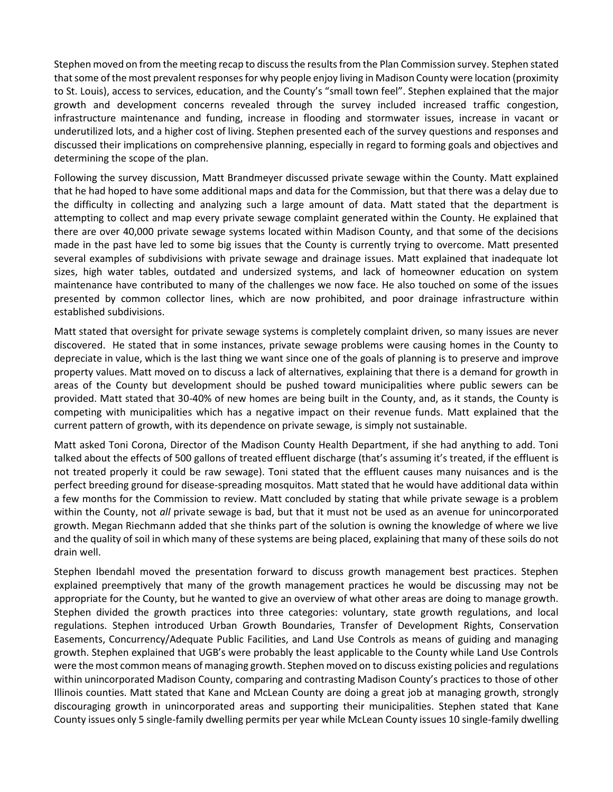Stephen moved on from the meeting recap to discuss the results from the Plan Commission survey. Stephen stated that some of the most prevalent responses for why people enjoy living in Madison County were location (proximity to St. Louis), access to services, education, and the County's "small town feel". Stephen explained that the major growth and development concerns revealed through the survey included increased traffic congestion, infrastructure maintenance and funding, increase in flooding and stormwater issues, increase in vacant or underutilized lots, and a higher cost of living. Stephen presented each of the survey questions and responses and discussed their implications on comprehensive planning, especially in regard to forming goals and objectives and determining the scope of the plan.

Following the survey discussion, Matt Brandmeyer discussed private sewage within the County. Matt explained that he had hoped to have some additional maps and data for the Commission, but that there was a delay due to the difficulty in collecting and analyzing such a large amount of data. Matt stated that the department is attempting to collect and map every private sewage complaint generated within the County. He explained that there are over 40,000 private sewage systems located within Madison County, and that some of the decisions made in the past have led to some big issues that the County is currently trying to overcome. Matt presented several examples of subdivisions with private sewage and drainage issues. Matt explained that inadequate lot sizes, high water tables, outdated and undersized systems, and lack of homeowner education on system maintenance have contributed to many of the challenges we now face. He also touched on some of the issues presented by common collector lines, which are now prohibited, and poor drainage infrastructure within established subdivisions.

Matt stated that oversight for private sewage systems is completely complaint driven, so many issues are never discovered. He stated that in some instances, private sewage problems were causing homes in the County to depreciate in value, which is the last thing we want since one of the goals of planning is to preserve and improve property values. Matt moved on to discuss a lack of alternatives, explaining that there is a demand for growth in areas of the County but development should be pushed toward municipalities where public sewers can be provided. Matt stated that 30-40% of new homes are being built in the County, and, as it stands, the County is competing with municipalities which has a negative impact on their revenue funds. Matt explained that the current pattern of growth, with its dependence on private sewage, is simply not sustainable.

Matt asked Toni Corona, Director of the Madison County Health Department, if she had anything to add. Toni talked about the effects of 500 gallons of treated effluent discharge (that's assuming it's treated, if the effluent is not treated properly it could be raw sewage). Toni stated that the effluent causes many nuisances and is the perfect breeding ground for disease-spreading mosquitos. Matt stated that he would have additional data within a few months for the Commission to review. Matt concluded by stating that while private sewage is a problem within the County, not *all* private sewage is bad, but that it must not be used as an avenue for unincorporated growth. Megan Riechmann added that she thinks part of the solution is owning the knowledge of where we live and the quality of soil in which many of these systems are being placed, explaining that many of these soils do not drain well.

Stephen Ibendahl moved the presentation forward to discuss growth management best practices. Stephen explained preemptively that many of the growth management practices he would be discussing may not be appropriate for the County, but he wanted to give an overview of what other areas are doing to manage growth. Stephen divided the growth practices into three categories: voluntary, state growth regulations, and local regulations. Stephen introduced Urban Growth Boundaries, Transfer of Development Rights, Conservation Easements, Concurrency/Adequate Public Facilities, and Land Use Controls as means of guiding and managing growth. Stephen explained that UGB's were probably the least applicable to the County while Land Use Controls were the most common means of managing growth. Stephen moved on to discuss existing policies and regulations within unincorporated Madison County, comparing and contrasting Madison County's practices to those of other Illinois counties. Matt stated that Kane and McLean County are doing a great job at managing growth, strongly discouraging growth in unincorporated areas and supporting their municipalities. Stephen stated that Kane County issues only 5 single-family dwelling permits per year while McLean County issues 10 single-family dwelling